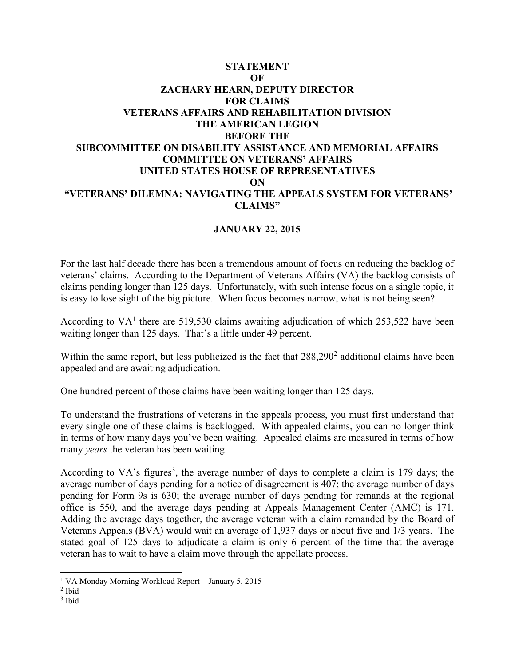## **STATEMENT OF ZACHARY HEARN, DEPUTY DIRECTOR FOR CLAIMS VETERANS AFFAIRS AND REHABILITATION DIVISION THE AMERICAN LEGION BEFORE THE SUBCOMMITTEE ON DISABILITY ASSISTANCE AND MEMORIAL AFFAIRS COMMITTEE ON VETERANS' AFFAIRS UNITED STATES HOUSE OF REPRESENTATIVES ON "VETERANS' DILEMNA: NAVIGATING THE APPEALS SYSTEM FOR VETERANS' CLAIMS"**

## **JANUARY 22, 2015**

For the last half decade there has been a tremendous amount of focus on reducing the backlog of veterans' claims. According to the Department of Veterans Affairs (VA) the backlog consists of claims pending longer than 125 days. Unfortunately, with such intense focus on a single topic, it is easy to lose sight of the big picture. When focus becomes narrow, what is not being seen?

According to  $VA<sup>1</sup>$  there are 519,530 claims awaiting adjudication of which 253,522 have been waiting longer than 125 days. That's a little under 49 percent.

Within the same report, but less publicized is the fact that  $288,290^2$  additional claims have been appealed and are awaiting adjudication.

One hundred percent of those claims have been waiting longer than 125 days.

To understand the frustrations of veterans in the appeals process, you must first understand that every single one of these claims is backlogged. With appealed claims, you can no longer think in terms of how many days you've been waiting. Appealed claims are measured in terms of how many *years* the veteran has been waiting.

According to VA's figures<sup>3</sup>, the average number of days to complete a claim is 179 days; the average number of days pending for a notice of disagreement is 407; the average number of days pending for Form 9s is 630; the average number of days pending for remands at the regional office is 550, and the average days pending at Appeals Management Center (AMC) is 171. Adding the average days together, the average veteran with a claim remanded by the Board of Veterans Appeals (BVA) would wait an average of 1,937 days or about five and 1/3 years. The stated goal of 125 days to adjudicate a claim is only 6 percent of the time that the average veteran has to wait to have a claim move through the appellate process.

 $\overline{a}$ 1 VA Monday Morning Workload Report – January 5, 2015

<sup>2</sup> Ibid

<sup>3</sup> Ibid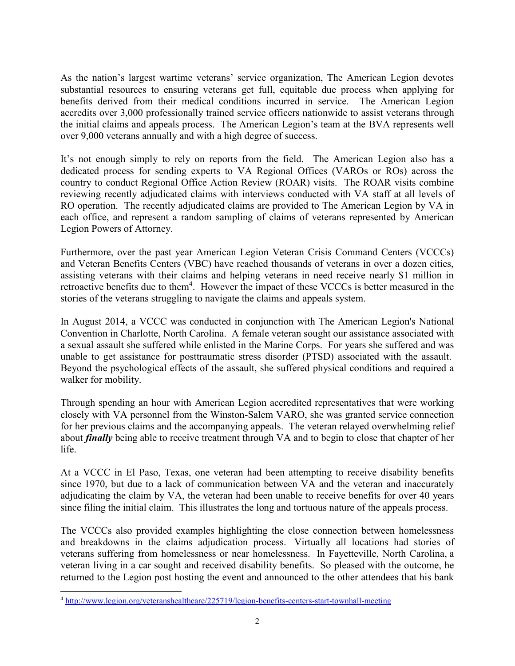As the nation's largest wartime veterans' service organization, The American Legion devotes substantial resources to ensuring veterans get full, equitable due process when applying for benefits derived from their medical conditions incurred in service. The American Legion accredits over 3,000 professionally trained service officers nationwide to assist veterans through the initial claims and appeals process. The American Legion's team at the BVA represents well over 9,000 veterans annually and with a high degree of success.

It's not enough simply to rely on reports from the field. The American Legion also has a dedicated process for sending experts to VA Regional Offices (VAROs or ROs) across the country to conduct Regional Office Action Review (ROAR) visits. The ROAR visits combine reviewing recently adjudicated claims with interviews conducted with VA staff at all levels of RO operation. The recently adjudicated claims are provided to The American Legion by VA in each office, and represent a random sampling of claims of veterans represented by American Legion Powers of Attorney.

Furthermore, over the past year American Legion Veteran Crisis Command Centers (VCCCs) and Veteran Benefits Centers (VBC) have reached thousands of veterans in over a dozen cities, assisting veterans with their claims and helping veterans in need receive nearly \$1 million in retroactive benefits due to them<sup>4</sup>. However the impact of these VCCCs is better measured in the stories of the veterans struggling to navigate the claims and appeals system.

In August 2014, a VCCC was conducted in conjunction with The American Legion's National Convention in Charlotte, North Carolina. A female veteran sought our assistance associated with a sexual assault she suffered while enlisted in the Marine Corps. For years she suffered and was unable to get assistance for posttraumatic stress disorder (PTSD) associated with the assault. Beyond the psychological effects of the assault, she suffered physical conditions and required a walker for mobility.

Through spending an hour with American Legion accredited representatives that were working closely with VA personnel from the Winston-Salem VARO, she was granted service connection for her previous claims and the accompanying appeals. The veteran relayed overwhelming relief about *finally* being able to receive treatment through VA and to begin to close that chapter of her life.

At a VCCC in El Paso, Texas, one veteran had been attempting to receive disability benefits since 1970, but due to a lack of communication between VA and the veteran and inaccurately adjudicating the claim by VA, the veteran had been unable to receive benefits for over 40 years since filing the initial claim. This illustrates the long and tortuous nature of the appeals process.

The VCCCs also provided examples highlighting the close connection between homelessness and breakdowns in the claims adjudication process. Virtually all locations had stories of veterans suffering from homelessness or near homelessness. In Fayetteville, North Carolina, a veteran living in a car sought and received disability benefits. So pleased with the outcome, he returned to the Legion post hosting the event and announced to the other attendees that his bank

 $\overline{a}$ 

<sup>4</sup> <http://www.legion.org/veteranshealthcare/225719/legion-benefits-centers-start-townhall-meeting>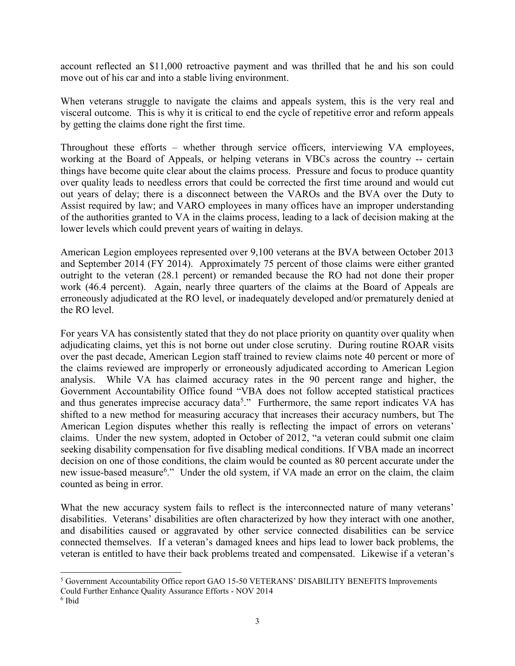account reflected an \$11,000 retroactive payment and was thrilled that he and his son could move out of his car and into a stable living environment.

When veterans struggle to navigate the claims and appeals system, this is the very real and visceral outcome. This is why it is critical to end the cycle of repetitive error and reform appeals by getting the claims done right the first time.

Throughout these efforts – whether through service officers, interviewing VA employees, working at the Board of Appeals, or helping veterans in VBCs across the country -- certain things have become quite clear about the claims process. Pressure and focus to produce quantity over quality leads to needless errors that could be corrected the first time around and would cut out years of delay; there is a disconnect between the VAROs and the BVA over the Duty to Assist required by law; and VARO employees in many offices have an improper understanding of the authorities granted to VA in the claims process, leading to a lack of decision making at the lower levels which could prevent years of waiting in delays.

American Legion employees represented over 9,100 veterans at the BVA between October 2013 and September 2014 (FY 2014). Approximately 75 percent of those claims were either granted outright to the veteran (28.1 percent) or remanded because the RO had not done their proper work (46.4 percent). Again, nearly three quarters of the claims at the Board of Appeals are erroneously adjudicated at the RO level, or inadequately developed and/or prematurely denied at the RO level.

For years VA has consistently stated that they do not place priority on quantity over quality when adjudicating claims, yet this is not borne out under close scrutiny. During routine ROAR visits over the past decade, American Legion staff trained to review claims note 40 percent or more of the claims reviewed are improperly or erroneously adjudicated according to American Legion analysis. While VA has claimed accuracy rates in the 90 percent range and higher, the Government Accountability Office found "VBA does not follow accepted statistical practices and thus generates imprecise accuracy data<sup>5</sup>." Furthermore, the same report indicates VA has shifted to a new method for measuring accuracy that increases their accuracy numbers, but The American Legion disputes whether this really is reflecting the impact of errors on veterans' claims. Under the new system, adopted in October of 2012, "a veteran could submit one claim seeking disability compensation for five disabling medical conditions. If VBA made an incorrect decision on one of those conditions, the claim would be counted as 80 percent accurate under the new issue-based measure<sup>6</sup>." Under the old system, if VA made an error on the claim, the claim counted as being in error.

What the new accuracy system fails to reflect is the interconnected nature of many veterans' disabilities. Veterans' disabilities are often characterized by how they interact with one another, and disabilities caused or aggravated by other service connected disabilities can be service connected themselves. If a veteran's damaged knees and hips lead to lower back problems, the veteran is entitled to have their back problems treated and compensated. Likewise if a veteran's

 $\overline{a}$ <sup>5</sup> Government Accountability Office report GAO 15-50 VETERANS' DISABILITY BENEFITS Improvements Could Further Enhance Quality Assurance Efforts - NOV 2014

<sup>6</sup> Ibid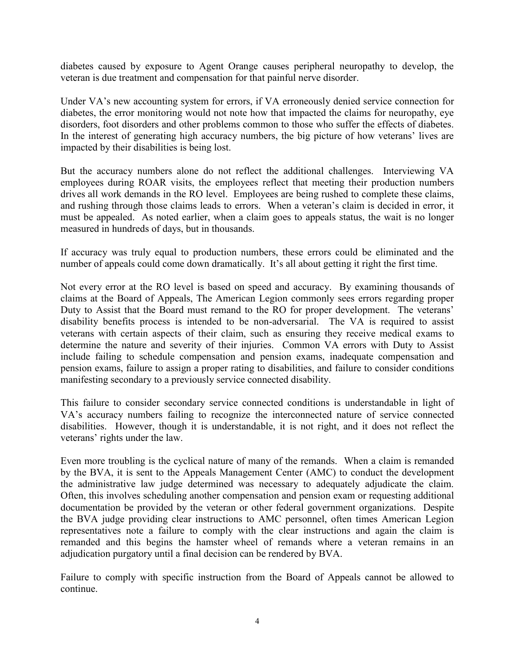diabetes caused by exposure to Agent Orange causes peripheral neuropathy to develop, the veteran is due treatment and compensation for that painful nerve disorder.

Under VA's new accounting system for errors, if VA erroneously denied service connection for diabetes, the error monitoring would not note how that impacted the claims for neuropathy, eye disorders, foot disorders and other problems common to those who suffer the effects of diabetes. In the interest of generating high accuracy numbers, the big picture of how veterans' lives are impacted by their disabilities is being lost.

But the accuracy numbers alone do not reflect the additional challenges. Interviewing VA employees during ROAR visits, the employees reflect that meeting their production numbers drives all work demands in the RO level. Employees are being rushed to complete these claims, and rushing through those claims leads to errors. When a veteran's claim is decided in error, it must be appealed. As noted earlier, when a claim goes to appeals status, the wait is no longer measured in hundreds of days, but in thousands.

If accuracy was truly equal to production numbers, these errors could be eliminated and the number of appeals could come down dramatically. It's all about getting it right the first time.

Not every error at the RO level is based on speed and accuracy. By examining thousands of claims at the Board of Appeals, The American Legion commonly sees errors regarding proper Duty to Assist that the Board must remand to the RO for proper development. The veterans' disability benefits process is intended to be non-adversarial. The VA is required to assist veterans with certain aspects of their claim, such as ensuring they receive medical exams to determine the nature and severity of their injuries. Common VA errors with Duty to Assist include failing to schedule compensation and pension exams, inadequate compensation and pension exams, failure to assign a proper rating to disabilities, and failure to consider conditions manifesting secondary to a previously service connected disability.

This failure to consider secondary service connected conditions is understandable in light of VA's accuracy numbers failing to recognize the interconnected nature of service connected disabilities. However, though it is understandable, it is not right, and it does not reflect the veterans' rights under the law.

Even more troubling is the cyclical nature of many of the remands. When a claim is remanded by the BVA, it is sent to the Appeals Management Center (AMC) to conduct the development the administrative law judge determined was necessary to adequately adjudicate the claim. Often, this involves scheduling another compensation and pension exam or requesting additional documentation be provided by the veteran or other federal government organizations. Despite the BVA judge providing clear instructions to AMC personnel, often times American Legion representatives note a failure to comply with the clear instructions and again the claim is remanded and this begins the hamster wheel of remands where a veteran remains in an adjudication purgatory until a final decision can be rendered by BVA.

Failure to comply with specific instruction from the Board of Appeals cannot be allowed to continue.